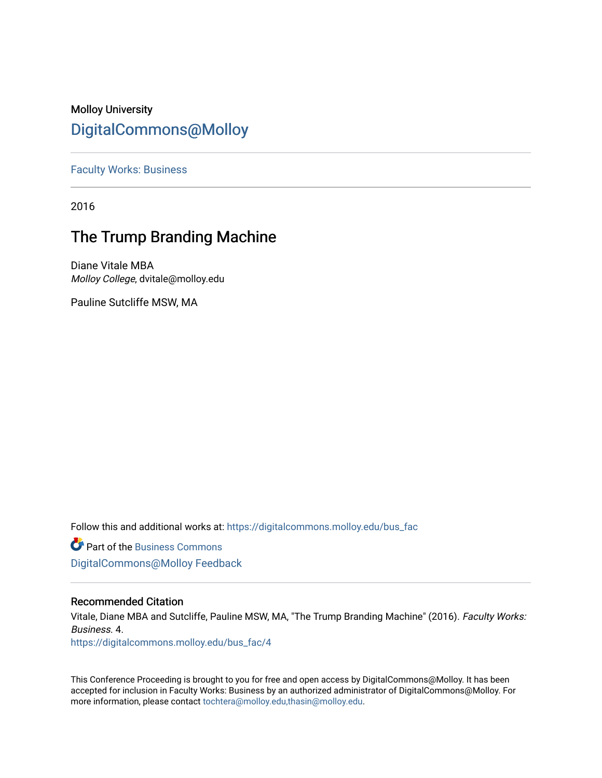## Molloy University [DigitalCommons@Molloy](https://digitalcommons.molloy.edu/)

[Faculty Works: Business](https://digitalcommons.molloy.edu/bus_fac) 

2016

# The Trump Branding Machine

Diane Vitale MBA Molloy College, dvitale@molloy.edu

Pauline Sutcliffe MSW, MA

Follow this and additional works at: [https://digitalcommons.molloy.edu/bus\\_fac](https://digitalcommons.molloy.edu/bus_fac?utm_source=digitalcommons.molloy.edu%2Fbus_fac%2F4&utm_medium=PDF&utm_campaign=PDFCoverPages)

**C** Part of the [Business Commons](https://network.bepress.com/hgg/discipline/622?utm_source=digitalcommons.molloy.edu%2Fbus_fac%2F4&utm_medium=PDF&utm_campaign=PDFCoverPages) [DigitalCommons@Molloy Feedback](https://molloy.libwizard.com/f/dcfeedback)

## Recommended Citation

Vitale, Diane MBA and Sutcliffe, Pauline MSW, MA, "The Trump Branding Machine" (2016). Faculty Works: Business. 4.

[https://digitalcommons.molloy.edu/bus\\_fac/4](https://digitalcommons.molloy.edu/bus_fac/4?utm_source=digitalcommons.molloy.edu%2Fbus_fac%2F4&utm_medium=PDF&utm_campaign=PDFCoverPages)

This Conference Proceeding is brought to you for free and open access by DigitalCommons@Molloy. It has been accepted for inclusion in Faculty Works: Business by an authorized administrator of DigitalCommons@Molloy. For more information, please contact [tochtera@molloy.edu,thasin@molloy.edu.](mailto:tochtera@molloy.edu,thasin@molloy.edu)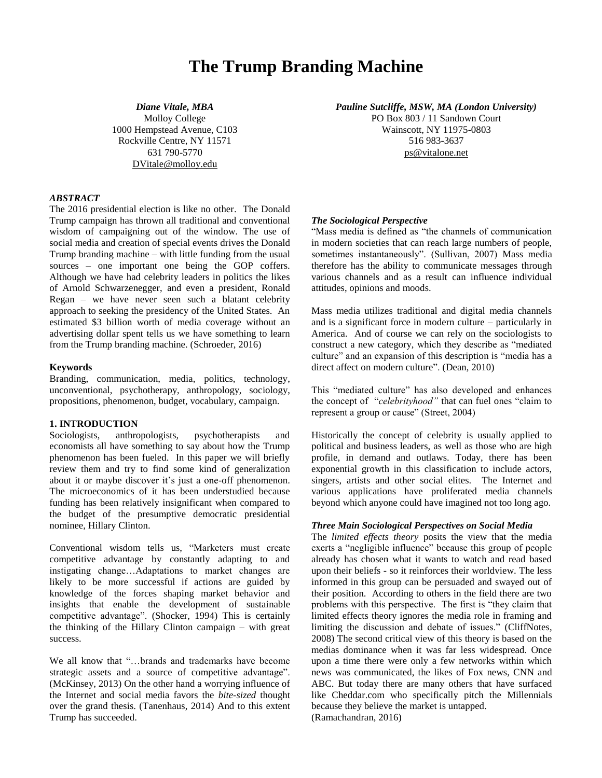## **The Trump Branding Machine**

Molloy College 1000 Hempstead Avenue, C103 Rockville Centre, NY 11571 516 983-3637 631 790-5770 [DVitale@molloy.edu](mailto:DVitale@molloy.edu)

*Diane Vitale, MBA Pauline Sutcliffe, MSW, MA (London University)* PO Box 803 / 11 Sandown Court

Wainscott, NY 11975-0803 [ps@vitalone.net](mailto:ps@vitalone.net)

#### *ABSTRACT*

The 2016 presidential election is like no other. The Donald Trump campaign has thrown all traditional and conventional wisdom of campaigning out of the window. The use of social media and creation of special events drives the Donald Trump branding machine – with little funding from the usual sources – one important one being the GOP coffers. Although we have had celebrity leaders in politics the likes of Arnold Schwarzenegger, and even a president, Ronald Regan – we have never seen such a blatant celebrity approach to seeking the presidency of the United States. An estimated \$3 billion worth of media coverage without an advertising dollar spent tells us we have something to learn from the Trump branding machine. (Schroeder, 2016)

#### **Keywords**

Branding, communication, media, politics, technology, unconventional, psychotherapy, anthropology, sociology, propositions, phenomenon, budget, vocabulary, campaign.

### **1. INTRODUCTION**

Sociologists, anthropologists, psychotherapists and economists all have something to say about how the Trump phenomenon has been fueled. In this paper we will briefly review them and try to find some kind of generalization about it or maybe discover it's just a one-off phenomenon. The microeconomics of it has been understudied because funding has been relatively insignificant when compared to the budget of the presumptive democratic presidential nominee, Hillary Clinton.

Conventional wisdom tells us, "Marketers must create competitive advantage by constantly adapting to and instigating change…Adaptations to market changes are likely to be more successful if actions are guided by knowledge of the forces shaping market behavior and insights that enable the development of sustainable competitive advantage". (Shocker, 1994) This is certainly the thinking of the Hillary Clinton campaign – with great success.

We all know that "…brands and trademarks have become strategic assets and a source of competitive advantage". (McKinsey, 2013) On the other hand a worrying influence of the Internet and social media favors the *bite-sized* thought over the grand thesis. (Tanenhaus, 2014) And to this extent Trump has succeeded.

#### *The Sociological Perspective*

"Mass media is defined as "the channels of communication in modern societies that can reach large numbers of people, sometimes instantaneously". (Sullivan, 2007) Mass media therefore has the ability to communicate messages through various channels and as a result can influence individual attitudes, opinions and moods.

Mass media utilizes traditional and digital media channels and is a significant force in modern culture – particularly in America. And of course we can rely on the sociologists to construct a new category, which they describe as "mediated culture" and an expansion of this description is "media has a direct affect on modern culture". (Dean, 2010)

This "mediated culture" has also developed and enhances the concept of "*celebrityhood"* that can fuel ones "claim to represent a group or cause" (Street, 2004)

Historically the concept of celebrity is usually applied to political and business leaders, as well as those who are high profile, in demand and outlaws. Today, there has been exponential growth in this classification to include actors, singers, artists and other social elites. The Internet and various applications have proliferated media channels beyond which anyone could have imagined not too long ago.

#### *Three Main Sociological Perspectives on Social Media*

The *limited effects theory* posits the view that the media exerts a "negligible influence" because this group of people already has chosen what it wants to watch and read based upon their beliefs - so it reinforces their worldview. The less informed in this group can be persuaded and swayed out of their position. According to others in the field there are two problems with this perspective. The first is "they claim that limited effects theory ignores the media role in framing and limiting the discussion and debate of issues." (CliffNotes, 2008) The second critical view of this theory is based on the medias dominance when it was far less widespread. Once upon a time there were only a few networks within which news was communicated, the likes of Fox news, CNN and ABC. But today there are many others that have surfaced like Cheddar.com who specifically pitch the Millennials because they believe the market is untapped.

(Ramachandran, 2016)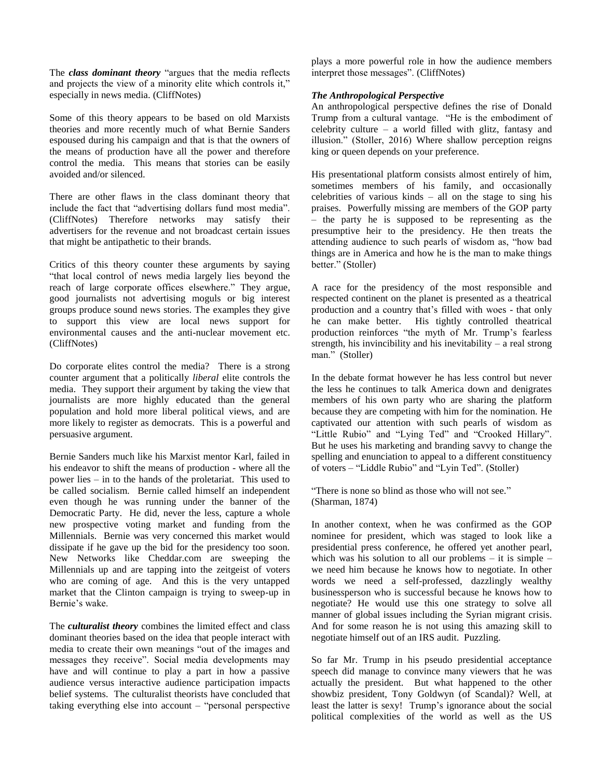The *class dominant theory* "argues that the media reflects and projects the view of a minority elite which controls it," especially in news media. (CliffNotes)

Some of this theory appears to be based on old Marxists theories and more recently much of what Bernie Sanders espoused during his campaign and that is that the owners of the means of production have all the power and therefore control the media. This means that stories can be easily avoided and/or silenced.

There are other flaws in the class dominant theory that include the fact that "advertising dollars fund most media". (CliffNotes) Therefore networks may satisfy their advertisers for the revenue and not broadcast certain issues that might be antipathetic to their brands.

Critics of this theory counter these arguments by saying "that local control of news media largely lies beyond the reach of large corporate offices elsewhere." They argue, good journalists not advertising moguls or big interest groups produce sound news stories. The examples they give to support this view are local news support for environmental causes and the anti-nuclear movement etc. (CliffNotes)

Do corporate elites control the media? There is a strong counter argument that a politically *liberal* elite controls the media. They support their argument by taking the view that journalists are more highly educated than the general population and hold more liberal political views, and are more likely to register as democrats. This is a powerful and persuasive argument.

Bernie Sanders much like his Marxist mentor Karl, failed in his endeavor to shift the means of production - where all the power lies – in to the hands of the proletariat. This used to be called socialism. Bernie called himself an independent even though he was running under the banner of the Democratic Party. He did, never the less, capture a whole new prospective voting market and funding from the Millennials. Bernie was very concerned this market would dissipate if he gave up the bid for the presidency too soon. New Networks like Cheddar.com are sweeping the Millennials up and are tapping into the zeitgeist of voters who are coming of age. And this is the very untapped market that the Clinton campaign is trying to sweep-up in Bernie's wake.

The *culturalist theory* combines the limited effect and class dominant theories based on the idea that people interact with media to create their own meanings "out of the images and messages they receive". Social media developments may have and will continue to play a part in how a passive audience versus interactive audience participation impacts belief systems. The culturalist theorists have concluded that taking everything else into account – "personal perspective plays a more powerful role in how the audience members interpret those messages". (CliffNotes)

### *The Anthropological Perspective*

An anthropological perspective defines the rise of Donald Trump from a cultural vantage. "He is the embodiment of celebrity culture – a world filled with glitz, fantasy and illusion." (Stoller, 2016) Where shallow perception reigns king or queen depends on your preference.

His presentational platform consists almost entirely of him, sometimes members of his family, and occasionally celebrities of various kinds – all on the stage to sing his praises. Powerfully missing are members of the GOP party – the party he is supposed to be representing as the presumptive heir to the presidency. He then treats the attending audience to such pearls of wisdom as, "how bad things are in America and how he is the man to make things better." (Stoller)

A race for the presidency of the most responsible and respected continent on the planet is presented as a theatrical production and a country that's filled with woes - that only he can make better. His tightly controlled theatrical production reinforces "the myth of Mr. Trump's fearless strength, his invincibility and his inevitability – a real strong man." (Stoller)

In the debate format however he has less control but never the less he continues to talk America down and denigrates members of his own party who are sharing the platform because they are competing with him for the nomination. He captivated our attention with such pearls of wisdom as "Little Rubio" and "Lying Ted" and "Crooked Hillary". But he uses his marketing and branding savvy to change the spelling and enunciation to appeal to a different constituency of voters – "Liddle Rubio" and "Lyin Ted". (Stoller)

"There is none so blind as those who will not see." (Sharman, 1874)

In another context, when he was confirmed as the GOP nominee for president, which was staged to look like a presidential press conference, he offered yet another pearl, which was his solution to all our problems  $-$  it is simple  $$ we need him because he knows how to negotiate. In other words we need a self-professed, dazzlingly wealthy businessperson who is successful because he knows how to negotiate? He would use this one strategy to solve all manner of global issues including the Syrian migrant crisis. And for some reason he is not using this amazing skill to negotiate himself out of an IRS audit. Puzzling.

So far Mr. Trump in his pseudo presidential acceptance speech did manage to convince many viewers that he was actually the president. But what happened to the other showbiz president, Tony Goldwyn (of Scandal)? Well, at least the latter is sexy! Trump's ignorance about the social political complexities of the world as well as the US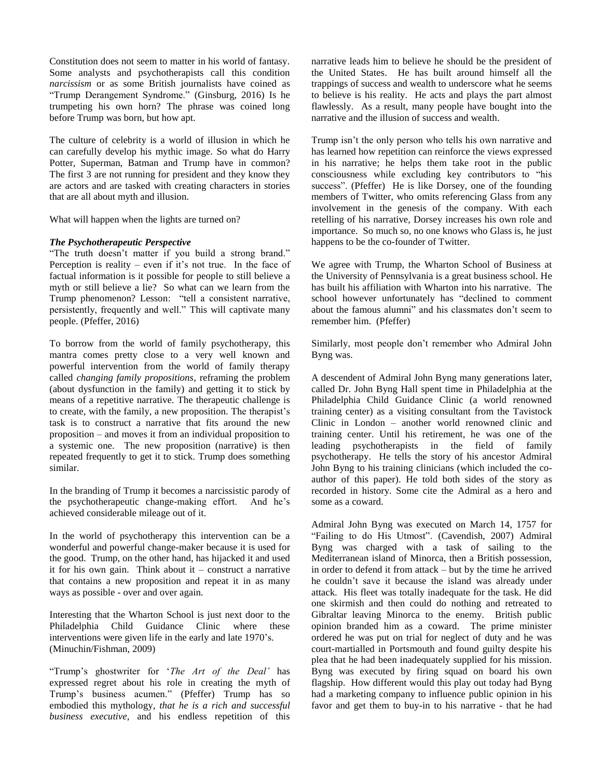Constitution does not seem to matter in his world of fantasy. Some analysts and psychotherapists call this condition *narcissism* or as some British journalists have coined as "Trump Derangement Syndrome." (Ginsburg, 2016) Is he trumpeting his own horn? The phrase was coined long before Trump was born, but how apt.

The culture of celebrity is a world of illusion in which he can carefully develop his mythic image. So what do Harry Potter, Superman, Batman and Trump have in common? The first 3 are not running for president and they know they are actors and are tasked with creating characters in stories that are all about myth and illusion.

What will happen when the lights are turned on?

### *The Psychotherapeutic Perspective*

"The truth doesn't matter if you build a strong brand." Perception is reality – even if it's not true. In the face of factual information is it possible for people to still believe a myth or still believe a lie? So what can we learn from the Trump phenomenon? Lesson: "tell a consistent narrative, persistently, frequently and well." This will captivate many people. (Pfeffer, 2016)

To borrow from the world of family psychotherapy, this mantra comes pretty close to a very well known and powerful intervention from the world of family therapy called *changing family propositions*, reframing the problem (about dysfunction in the family) and getting it to stick by means of a repetitive narrative. The therapeutic challenge is to create, with the family, a new proposition. The therapist's task is to construct a narrative that fits around the new proposition – and moves it from an individual proposition to a systemic one. The new proposition (narrative) is then repeated frequently to get it to stick. Trump does something similar.

In the branding of Trump it becomes a narcissistic parody of the psychotherapeutic change-making effort. And he's achieved considerable mileage out of it.

In the world of psychotherapy this intervention can be a wonderful and powerful change-maker because it is used for the good. Trump, on the other hand, has hijacked it and used it for his own gain. Think about it – construct a narrative that contains a new proposition and repeat it in as many ways as possible - over and over again.

Interesting that the Wharton School is just next door to the Philadelphia Child Guidance Clinic where these interventions were given life in the early and late 1970's. (Minuchin/Fishman, 2009)

"Trump's ghostwriter for '*The Art of the Deal'* has expressed regret about his role in creating the myth of Trump's business acumen." (Pfeffer) Trump has so embodied this mythology, *that he is a rich and successful business executive*, and his endless repetition of this narrative leads him to believe he should be the president of the United States. He has built around himself all the trappings of success and wealth to underscore what he seems to believe is his reality. He acts and plays the part almost flawlessly. As a result, many people have bought into the narrative and the illusion of success and wealth.

Trump isn't the only person who tells his own narrative and has learned how repetition can reinforce the views expressed in his narrative; he helps them take root in the public consciousness while excluding key contributors to "his success". (Pfeffer) He is like Dorsey, one of the founding members of Twitter, who omits referencing Glass from any involvement in the genesis of the company. With each retelling of his narrative, Dorsey increases his own role and importance. So much so, no one knows who Glass is, he just happens to be the co-founder of Twitter.

We agree with Trump, the Wharton School of Business at the University of Pennsylvania is a great business school. He has built his affiliation with Wharton into his narrative. The school however unfortunately has "declined to comment about the famous alumni" and his classmates don't seem to remember him. (Pfeffer)

Similarly, most people don't remember who Admiral John Byng was.

A descendent of Admiral John Byng many generations later, called Dr. John Byng Hall spent time in Philadelphia at the Philadelphia Child Guidance Clinic (a world renowned training center) as a visiting consultant from the Tavistock Clinic in London – another world renowned clinic and training center. Until his retirement, he was one of the leading psychotherapists in the field of family psychotherapy. He tells the story of his ancestor Admiral John Byng to his training clinicians (which included the coauthor of this paper). He told both sides of the story as recorded in history. Some cite the Admiral as a hero and some as a coward.

Admiral John Byng was executed on March 14, 1757 for "Failing to do His Utmost". (Cavendish, 2007) Admiral Byng was charged with a task of sailing to the Mediterranean island of Minorca, then a British possession, in order to defend it from attack – but by the time he arrived he couldn't save it because the island was already under attack. His fleet was totally inadequate for the task. He did one skirmish and then could do nothing and retreated to Gibraltar leaving Minorca to the enemy. British public opinion branded him as a coward. The prime minister ordered he was put on trial for neglect of duty and he was court-martialled in Portsmouth and found guilty despite his plea that he had been inadequately supplied for his mission. Byng was executed by firing squad on board his own flagship. How different would this play out today had Byng had a marketing company to influence public opinion in his favor and get them to buy-in to his narrative - that he had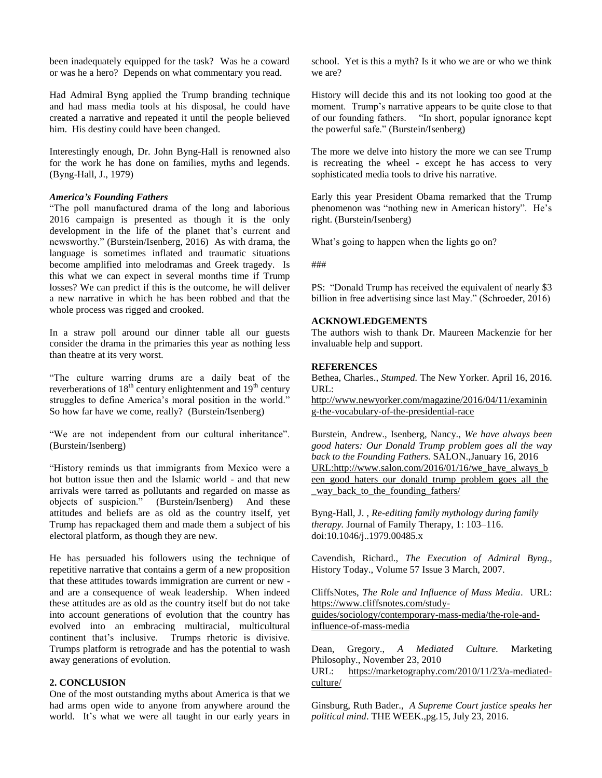been inadequately equipped for the task? Was he a coward or was he a hero? Depends on what commentary you read.

Had Admiral Byng applied the Trump branding technique and had mass media tools at his disposal, he could have created a narrative and repeated it until the people believed him. His destiny could have been changed.

Interestingly enough, Dr. John Byng-Hall is renowned also for the work he has done on families, myths and legends. (Byng-Hall, J., 1979)

#### *America's Founding Fathers*

"The poll manufactured drama of the long and laborious 2016 campaign is presented as though it is the only development in the life of the planet that's current and newsworthy." (Burstein/Isenberg, 2016) As with drama, the language is sometimes inflated and traumatic situations become amplified into melodramas and Greek tragedy. Is this what we can expect in several months time if Trump losses? We can predict if this is the outcome, he will deliver a new narrative in which he has been robbed and that the whole process was rigged and crooked.

In a straw poll around our dinner table all our guests consider the drama in the primaries this year as nothing less than theatre at its very worst.

"The culture warring drums are a daily beat of the reverberations of  $18<sup>th</sup>$  century enlightenment and  $19<sup>th</sup>$  century struggles to define America's moral position in the world." So how far have we come, really? (Burstein/Isenberg)

"We are not independent from our cultural inheritance". (Burstein/Isenberg)

"History reminds us that immigrants from Mexico were a hot button issue then and the Islamic world - and that new arrivals were tarred as pollutants and regarded on masse as objects of suspicion." (Burstein/Isenberg) And these attitudes and beliefs are as old as the country itself, yet Trump has repackaged them and made them a subject of his electoral platform, as though they are new.

He has persuaded his followers using the technique of repetitive narrative that contains a germ of a new proposition that these attitudes towards immigration are current or new and are a consequence of weak leadership. When indeed these attitudes are as old as the country itself but do not take into account generations of evolution that the country has evolved into an embracing multiracial, multicultural continent that's inclusive. Trumps rhetoric is divisive. Trumps platform is retrograde and has the potential to wash away generations of evolution.

#### **2. CONCLUSION**

One of the most outstanding myths about America is that we had arms open wide to anyone from anywhere around the world. It's what we were all taught in our early years in

school. Yet is this a myth? Is it who we are or who we think we are?

History will decide this and its not looking too good at the moment. Trump's narrative appears to be quite close to that of our founding fathers. "In short, popular ignorance kept the powerful safe." (Burstein/Isenberg)

The more we delve into history the more we can see Trump is recreating the wheel - except he has access to very sophisticated media tools to drive his narrative.

Early this year President Obama remarked that the Trump phenomenon was "nothing new in American history". He's right. (Burstein/Isenberg)

What's going to happen when the lights go on?

###

PS: "Donald Trump has received the equivalent of nearly \$3 billion in free advertising since last May." (Schroeder, 2016)

#### **ACKNOWLEDGEMENTS**

The authors wish to thank Dr. Maureen Mackenzie for her invaluable help and support.

#### **REFERENCES**

Bethea, Charles., *Stumped.* The New Yorker. April 16, 2016. URL:

[http://www.newyorker.com/magazine/2016/04/11/examinin](http://www.newyorker.com/magazine/2016/04/11/examining-the-vocabulary-of-the-presidential-race) [g-the-vocabulary-of-the-presidential-race](http://www.newyorker.com/magazine/2016/04/11/examining-the-vocabulary-of-the-presidential-race)

Burstein, Andrew., Isenberg, Nancy., *We have always been good haters: Our Donald Trump problem goes all the way back to the Founding Fathers.* SALON.,January 16, 2016 [URL:http://www.salon.com/2016/01/16/we\\_have\\_always\\_b](http://www.salon.com/2016/01/16/we_have_always_been_good_haters_our_donald_trump_problem_goes_all_the_way_back_to_the_founding_fathers/) [een\\_good\\_haters\\_our\\_donald\\_trump\\_problem\\_goes\\_all\\_the](http://www.salon.com/2016/01/16/we_have_always_been_good_haters_our_donald_trump_problem_goes_all_the_way_back_to_the_founding_fathers/) way back to the founding fathers/

Byng-Hall, J. , *Re-editing family mythology during family therapy.* Journal of Family Therapy, 1: 103–116. doi:10.1046/j..1979.00485.x

Cavendish, Richard., *The Execution of Admiral Byng.,*  History Today., Volume 57 Issue 3 March, 2007.

CliffsNotes, *The Role and Influence of Mass Media*. URL: [https://www.cliffsnotes.com/study-](https://www.cliffsnotes.com/study-guides/sociology/contemporary-mass-media/the-role-and-influence-of-mass-media)

[guides/sociology/contemporary-mass-media/the-role-and](https://www.cliffsnotes.com/study-guides/sociology/contemporary-mass-media/the-role-and-influence-of-mass-media)[influence-of-mass-media](https://www.cliffsnotes.com/study-guides/sociology/contemporary-mass-media/the-role-and-influence-of-mass-media)

Dean, Gregory., *A Mediated Culture.* Marketing Philosophy., November 23, 2010

URL: [https://marketography.com/2010/11/23/a-mediated](https://marketography.com/2010/11/23/a-mediated-culture/)[culture/](https://marketography.com/2010/11/23/a-mediated-culture/)

Ginsburg, Ruth Bader., *A Supreme Court justice speaks her political mind*. THE WEEK.,pg.15, July 23, 2016.